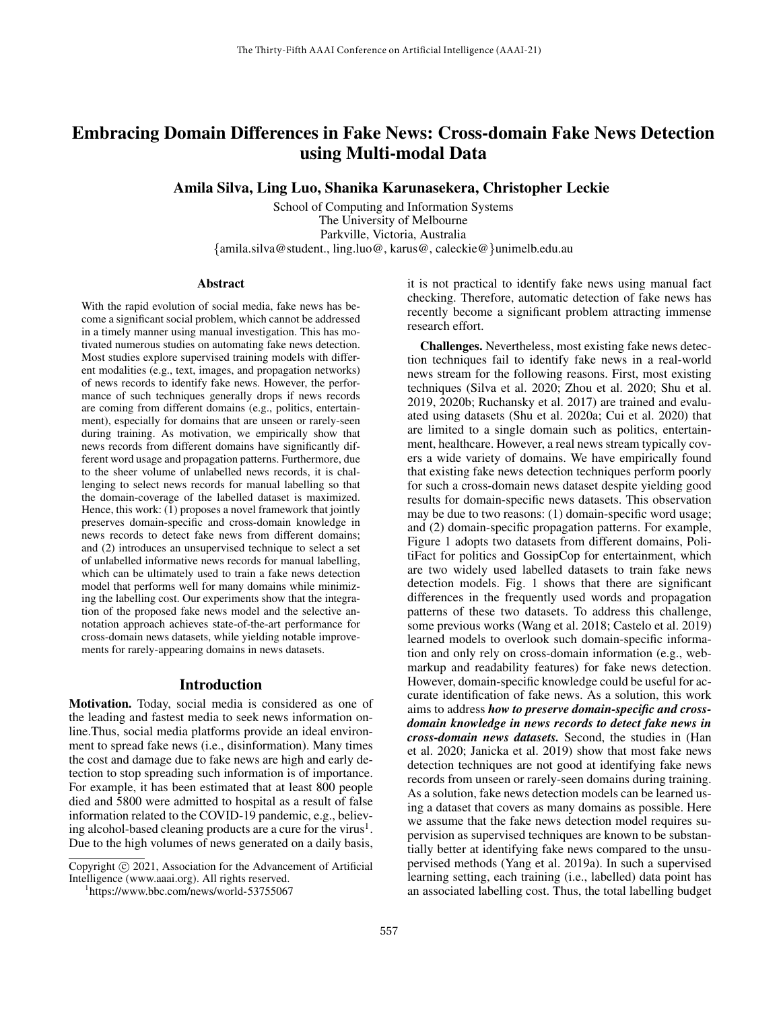# Embracing Domain Differences in Fake News: Cross-domain Fake News Detection using Multi-modal Data

Amila Silva, Ling Luo, Shanika Karunasekera, Christopher Leckie

School of Computing and Information Systems The University of Melbourne Parkville, Victoria, Australia {amila.silva@student., ling.luo@, karus@, caleckie@}unimelb.edu.au

#### **Abstract**

With the rapid evolution of social media, fake news has become a significant social problem, which cannot be addressed in a timely manner using manual investigation. This has motivated numerous studies on automating fake news detection. Most studies explore supervised training models with different modalities (e.g., text, images, and propagation networks) of news records to identify fake news. However, the performance of such techniques generally drops if news records are coming from different domains (e.g., politics, entertainment), especially for domains that are unseen or rarely-seen during training. As motivation, we empirically show that news records from different domains have significantly different word usage and propagation patterns. Furthermore, due to the sheer volume of unlabelled news records, it is challenging to select news records for manual labelling so that the domain-coverage of the labelled dataset is maximized. Hence, this work: (1) proposes a novel framework that jointly preserves domain-specific and cross-domain knowledge in news records to detect fake news from different domains; and (2) introduces an unsupervised technique to select a set of unlabelled informative news records for manual labelling, which can be ultimately used to train a fake news detection model that performs well for many domains while minimizing the labelling cost. Our experiments show that the integration of the proposed fake news model and the selective annotation approach achieves state-of-the-art performance for cross-domain news datasets, while yielding notable improvements for rarely-appearing domains in news datasets.

### Introduction

Motivation. Today, social media is considered as one of the leading and fastest media to seek news information online.Thus, social media platforms provide an ideal environment to spread fake news (i.e., disinformation). Many times the cost and damage due to fake news are high and early detection to stop spreading such information is of importance. For example, it has been estimated that at least 800 people died and 5800 were admitted to hospital as a result of false information related to the COVID-19 pandemic, e.g., believing alcohol-based cleaning products are a cure for the virus<sup>1</sup>. Due to the high volumes of news generated on a daily basis,

it is not practical to identify fake news using manual fact checking. Therefore, automatic detection of fake news has recently become a significant problem attracting immense research effort.

Challenges. Nevertheless, most existing fake news detection techniques fail to identify fake news in a real-world news stream for the following reasons. First, most existing techniques (Silva et al. 2020; Zhou et al. 2020; Shu et al. 2019, 2020b; Ruchansky et al. 2017) are trained and evaluated using datasets (Shu et al. 2020a; Cui et al. 2020) that are limited to a single domain such as politics, entertainment, healthcare. However, a real news stream typically covers a wide variety of domains. We have empirically found that existing fake news detection techniques perform poorly for such a cross-domain news dataset despite yielding good results for domain-specific news datasets. This observation may be due to two reasons: (1) domain-specific word usage; and (2) domain-specific propagation patterns. For example, Figure 1 adopts two datasets from different domains, PolitiFact for politics and GossipCop for entertainment, which are two widely used labelled datasets to train fake news detection models. Fig. 1 shows that there are significant differences in the frequently used words and propagation patterns of these two datasets. To address this challenge, some previous works (Wang et al. 2018; Castelo et al. 2019) learned models to overlook such domain-specific information and only rely on cross-domain information (e.g., webmarkup and readability features) for fake news detection. However, domain-specific knowledge could be useful for accurate identification of fake news. As a solution, this work aims to address *how to preserve domain-specific and crossdomain knowledge in news records to detect fake news in cross-domain news datasets.* Second, the studies in (Han et al. 2020; Janicka et al. 2019) show that most fake news detection techniques are not good at identifying fake news records from unseen or rarely-seen domains during training. As a solution, fake news detection models can be learned using a dataset that covers as many domains as possible. Here we assume that the fake news detection model requires supervision as supervised techniques are known to be substantially better at identifying fake news compared to the unsupervised methods (Yang et al. 2019a). In such a supervised learning setting, each training (i.e., labelled) data point has an associated labelling cost. Thus, the total labelling budget

Copyright (c) 2021, Association for the Advancement of Artificial Intelligence (www.aaai.org). All rights reserved.

<sup>1</sup> https://www.bbc.com/news/world-53755067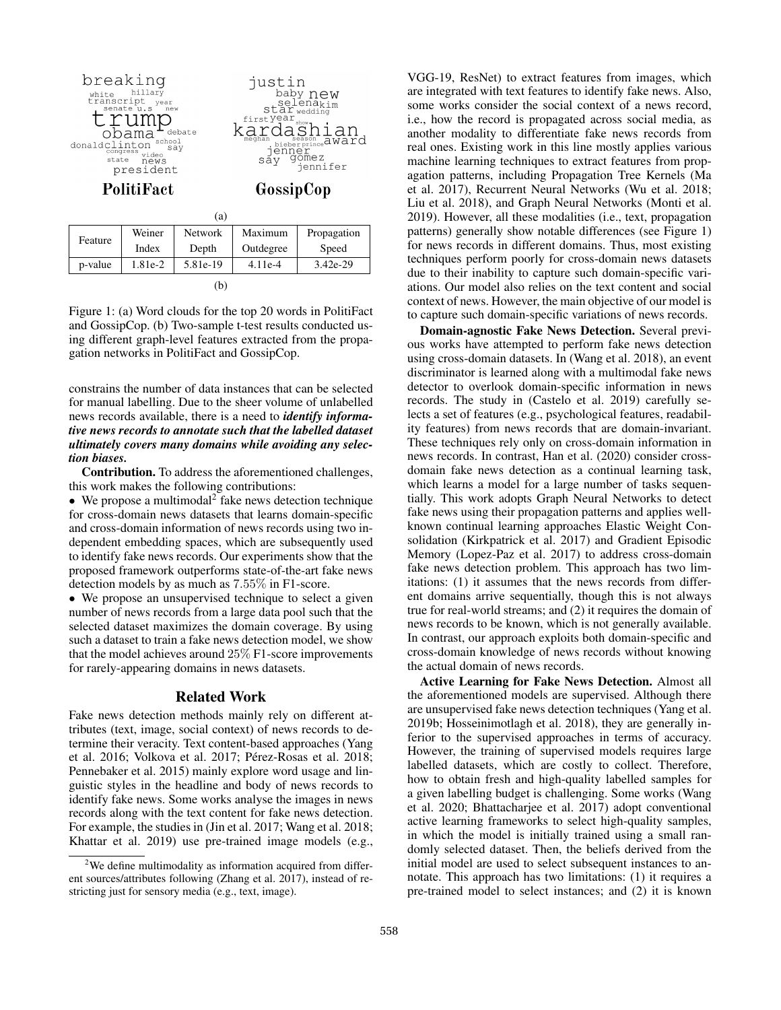

|                                                                                                                           |  |     | p-value   1.81e-2   5.81e-19   4.11e-4 | 3.42e-29 |  |  |  |  |  |  |  |
|---------------------------------------------------------------------------------------------------------------------------|--|-----|----------------------------------------|----------|--|--|--|--|--|--|--|
|                                                                                                                           |  | (h) |                                        |          |  |  |  |  |  |  |  |
| Figure 1: (a) Word clouds for the top 20 words in PolitiFact<br>and GossinCon (b) Two-sample t-test results conducted us- |  |     |                                        |          |  |  |  |  |  |  |  |
|                                                                                                                           |  |     |                                        |          |  |  |  |  |  |  |  |

and GossipCop. (b) Two-sample t-test results conducted using different graph-level features extracted from the propagation networks in PolitiFact and GossipCop.

constrains the number of data instances that can be selected for manual labelling. Due to the sheer volume of unlabelled news records available, there is a need to *identify informative news records to annotate such that the labelled dataset ultimately covers many domains while avoiding any selection biases.*

Contribution. To address the aforementioned challenges, this work makes the following contributions:

 $\bullet$  We propose a multimodal<sup>2</sup> fake news detection technique for cross-domain news datasets that learns domain-specific and cross-domain information of news records using two independent embedding spaces, which are subsequently used to identify fake news records. Our experiments show that the proposed framework outperforms state-of-the-art fake news detection models by as much as 7.55% in F1-score.

• We propose an unsupervised technique to select a given number of news records from a large data pool such that the selected dataset maximizes the domain coverage. By using such a dataset to train a fake news detection model, we show that the model achieves around 25% F1-score improvements for rarely-appearing domains in news datasets.

# Related Work

Fake news detection methods mainly rely on different attributes (text, image, social context) of news records to determine their veracity. Text content-based approaches (Yang et al. 2016; Volkova et al. 2017; Pérez-Rosas et al. 2018; Pennebaker et al. 2015) mainly explore word usage and linguistic styles in the headline and body of news records to identify fake news. Some works analyse the images in news records along with the text content for fake news detection. For example, the studies in (Jin et al. 2017; Wang et al. 2018; Khattar et al. 2019) use pre-trained image models (e.g.,

VGG-19, ResNet) to extract features from images, which are integrated with text features to identify fake news. Also, some works consider the social context of a news record, i.e., how the record is propagated across social media, as another modality to differentiate fake news records from real ones. Existing work in this line mostly applies various machine learning techniques to extract features from propagation patterns, including Propagation Tree Kernels (Ma et al. 2017), Recurrent Neural Networks (Wu et al. 2018; Liu et al. 2018), and Graph Neural Networks (Monti et al. 2019). However, all these modalities (i.e., text, propagation patterns) generally show notable differences (see Figure 1) for news records in different domains. Thus, most existing techniques perform poorly for cross-domain news datasets due to their inability to capture such domain-specific variations. Our model also relies on the text content and social context of news. However, the main objective of our model is to capture such domain-specific variations of news records.

Domain-agnostic Fake News Detection. Several previous works have attempted to perform fake news detection using cross-domain datasets. In (Wang et al. 2018), an event discriminator is learned along with a multimodal fake news detector to overlook domain-specific information in news records. The study in (Castelo et al. 2019) carefully selects a set of features (e.g., psychological features, readability features) from news records that are domain-invariant. These techniques rely only on cross-domain information in news records. In contrast, Han et al. (2020) consider crossdomain fake news detection as a continual learning task, which learns a model for a large number of tasks sequentially. This work adopts Graph Neural Networks to detect fake news using their propagation patterns and applies wellknown continual learning approaches Elastic Weight Consolidation (Kirkpatrick et al. 2017) and Gradient Episodic Memory (Lopez-Paz et al. 2017) to address cross-domain fake news detection problem. This approach has two limitations: (1) it assumes that the news records from different domains arrive sequentially, though this is not always true for real-world streams; and (2) it requires the domain of news records to be known, which is not generally available. In contrast, our approach exploits both domain-specific and cross-domain knowledge of news records without knowing the actual domain of news records.

Active Learning for Fake News Detection. Almost all the aforementioned models are supervised. Although there are unsupervised fake news detection techniques (Yang et al. 2019b; Hosseinimotlagh et al. 2018), they are generally inferior to the supervised approaches in terms of accuracy. However, the training of supervised models requires large labelled datasets, which are costly to collect. Therefore, how to obtain fresh and high-quality labelled samples for a given labelling budget is challenging. Some works (Wang et al. 2020; Bhattacharjee et al. 2017) adopt conventional active learning frameworks to select high-quality samples, in which the model is initially trained using a small randomly selected dataset. Then, the beliefs derived from the initial model are used to select subsequent instances to annotate. This approach has two limitations: (1) it requires a pre-trained model to select instances; and (2) it is known

<sup>&</sup>lt;sup>2</sup>We define multimodality as information acquired from different sources/attributes following (Zhang et al. 2017), instead of restricting just for sensory media (e.g., text, image).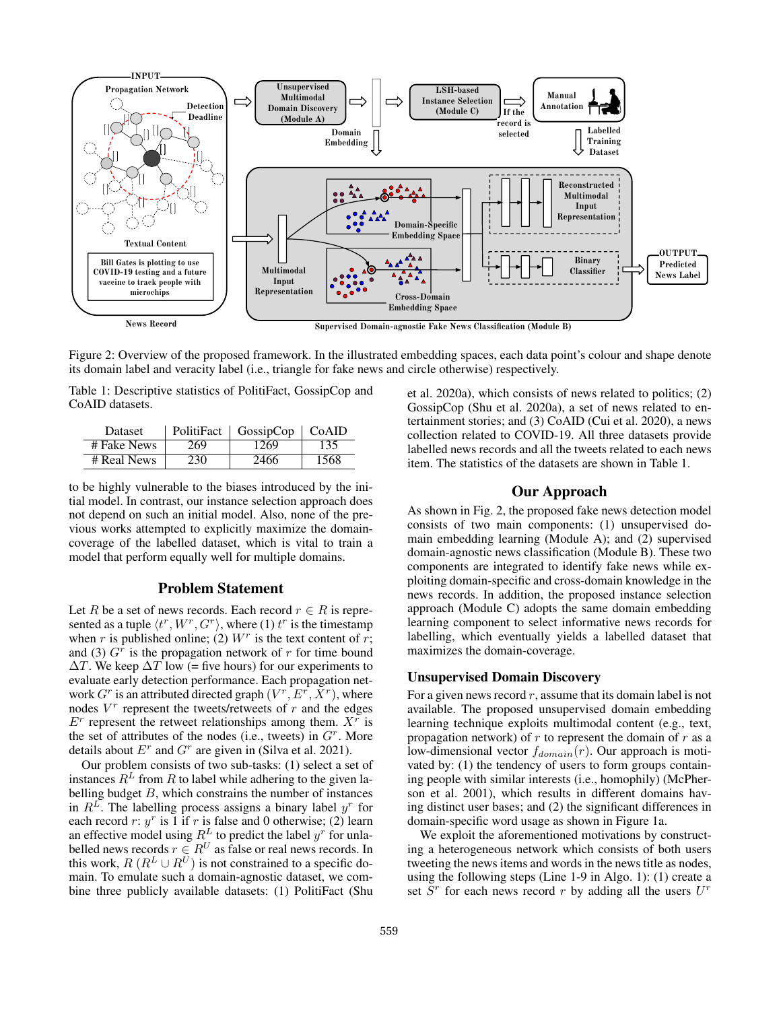

Figure 2: Overview of the proposed framework. In the illustrated embedding spaces, each data point's colour and shape denote its domain label and veracity label (i.e., triangle for fake news and circle otherwise) respectively.

Table 1: Descriptive statistics of PolitiFact, GossipCop and CoAID datasets.

| Dataset     |     | PolitiFact   GossipCop | ∣ CoAID |
|-------------|-----|------------------------|---------|
| # Fake News | 269 | 1269                   | 135     |
| # Real News | 230 | 2466                   | 1568    |

to be highly vulnerable to the biases introduced by the initial model. In contrast, our instance selection approach does not depend on such an initial model. Also, none of the previous works attempted to explicitly maximize the domaincoverage of the labelled dataset, which is vital to train a model that perform equally well for multiple domains.

# Problem Statement

Let R be a set of news records. Each record  $r \in R$  is represented as a tuple  $\langle t^r, W^r, G^r \rangle$ , where (1)  $t^r$  is the timestamp when r is published online; (2)  $W^r$  is the text content of r; and (3)  $G<sup>\hat{r}</sup>$ </sup> is the propagation network of r for time bound  $\Delta T$ . We keep  $\Delta T$  low (= five hours) for our experiments to evaluate early detection performance. Each propagation network  $G^r$  is an attributed directed graph  $(V^r, E^r, X^r)$ , where nodes  $V^r$  represent the tweets/retweets of  $r$  and the edges  $E^r$  represent the retweet relationships among them.  $X^r$  is the set of attributes of the nodes (i.e., tweets) in  $G<sup>r</sup>$ . More details about  $E^r$  and  $G^r$  are given in (Silva et al. 2021).

Our problem consists of two sub-tasks: (1) select a set of instances  $R^L$  from R to label while adhering to the given labelling budget  $B$ , which constrains the number of instances in  $R^L$ . The labelling process assigns a binary label  $y^r$  for each record  $r: y^r$  is 1 if r is false and 0 otherwise; (2) learn an effective model using  $R^L$  to predict the label  $y^r$  for unlabelled news records  $r \in R^U$  as false or real news records. In this work,  $R(R^L \cup R^U)$  is not constrained to a specific domain. To emulate such a domain-agnostic dataset, we combine three publicly available datasets: (1) PolitiFact (Shu

et al. 2020a), which consists of news related to politics; (2) GossipCop (Shu et al. 2020a), a set of news related to entertainment stories; and (3) CoAID (Cui et al. 2020), a news collection related to COVID-19. All three datasets provide labelled news records and all the tweets related to each news item. The statistics of the datasets are shown in Table 1.

# Our Approach

As shown in Fig. 2, the proposed fake news detection model consists of two main components: (1) unsupervised domain embedding learning (Module A); and (2) supervised domain-agnostic news classification (Module B). These two components are integrated to identify fake news while exploiting domain-specific and cross-domain knowledge in the news records. In addition, the proposed instance selection approach (Module C) adopts the same domain embedding learning component to select informative news records for labelling, which eventually yields a labelled dataset that maximizes the domain-coverage.

# Unsupervised Domain Discovery

For a given news record  $r$ , assume that its domain label is not available. The proposed unsupervised domain embedding learning technique exploits multimodal content (e.g., text, propagation network) of  $r$  to represent the domain of  $r$  as a low-dimensional vector  $f_{domain}(r)$ . Our approach is motivated by: (1) the tendency of users to form groups containing people with similar interests (i.e., homophily) (McPherson et al. 2001), which results in different domains having distinct user bases; and (2) the significant differences in domain-specific word usage as shown in Figure 1a.

We exploit the aforementioned motivations by constructing a heterogeneous network which consists of both users tweeting the news items and words in the news title as nodes, using the following steps (Line 1-9 in Algo. 1): (1) create a set  $S<sup>r</sup>$  for each news record r by adding all the users  $U<sup>r</sup>$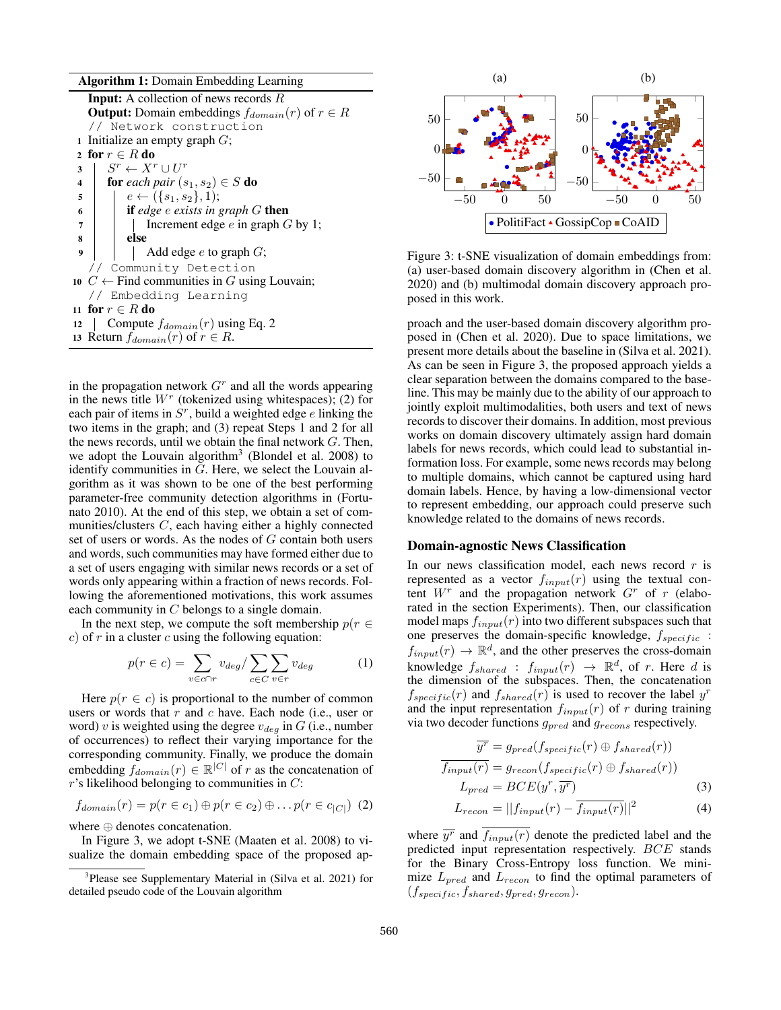Algorithm 1: Domain Embedding Learning

**Input:** A collection of news records  $R$ **Output:** Domain embeddings  $f_{domain}(r)$  of  $r \in R$ // Network construction 1 Initialize an empty graph  $G$ ; 2 for  $r \in R$  do 3  $S^r \leftarrow X^r \cup U^r$ 4 **for** each pair  $(s_1, s_2) \in S$  **do** 5  $\Big|$   $e \leftarrow (\{s_1, s_2\}, 1);$ <sup>6</sup> if *edge* e *exists in graph* G then <sup>7</sup> Increment edge e in graph G by 1; <sup>8</sup> else  $9 \mid \cdot \cdot \cdot$  Add edge *e* to graph *G*; // Community Detection 10  $C \leftarrow$  Find communities in G using Louvain; // Embedding Learning 11 for  $r \in R$  do 12 Compute  $f_{domain}(r)$  using Eq. 2 13 Return  $f_{domain}(r)$  of  $r \in R$ .

in the propagation network  $G<sup>r</sup>$  and all the words appearing in the news title  $W<sup>r</sup>$  (tokenized using whitespaces); (2) for each pair of items in  $S<sup>r</sup>$ , build a weighted edge  $e$  linking the two items in the graph; and (3) repeat Steps 1 and 2 for all the news records, until we obtain the final network  $G$ . Then, we adopt the Louvain algorithm<sup>3</sup> (Blondel et al. 2008) to identify communities in G. Here, we select the Louvain algorithm as it was shown to be one of the best performing parameter-free community detection algorithms in (Fortunato 2010). At the end of this step, we obtain a set of communities/clusters C, each having either a highly connected set of users or words. As the nodes of G contain both users and words, such communities may have formed either due to a set of users engaging with similar news records or a set of words only appearing within a fraction of news records. Following the aforementioned motivations, this work assumes each community in C belongs to a single domain.

In the next step, we compute the soft membership  $p(r \in$  $c$ ) of r in a cluster c using the following equation:

$$
p(r \in c) = \sum_{v \in c \cap r} v_{deg} / \sum_{c \in C} \sum_{v \in r} v_{deg}
$$
 (1)

Here  $p(r \in c)$  is proportional to the number of common users or words that  $r$  and  $c$  have. Each node (i.e., user or word) v is weighted using the degree  $v_{deg}$  in G (i.e., number of occurrences) to reflect their varying importance for the corresponding community. Finally, we produce the domain embedding  $f_{domain}(r) \in \mathbb{R}^{|C|}$  of r as the concatenation of  $r$ 's likelihood belonging to communities in  $C$ :

$$
f_{domain}(r) = p(r \in c_1) \oplus p(r \in c_2) \oplus \ldots p(r \in c_{|C|}) \tag{2}
$$

where ⊕ denotes concatenation.

In Figure 3, we adopt t-SNE (Maaten et al. 2008) to visualize the domain embedding space of the proposed ap-



Figure 3: t-SNE visualization of domain embeddings from: (a) user-based domain discovery algorithm in (Chen et al. 2020) and (b) multimodal domain discovery approach proposed in this work.

proach and the user-based domain discovery algorithm proposed in (Chen et al. 2020). Due to space limitations, we present more details about the baseline in (Silva et al. 2021). As can be seen in Figure 3, the proposed approach yields a clear separation between the domains compared to the baseline. This may be mainly due to the ability of our approach to jointly exploit multimodalities, both users and text of news records to discover their domains. In addition, most previous works on domain discovery ultimately assign hard domain labels for news records, which could lead to substantial information loss. For example, some news records may belong to multiple domains, which cannot be captured using hard domain labels. Hence, by having a low-dimensional vector to represent embedding, our approach could preserve such knowledge related to the domains of news records.

## Domain-agnostic News Classification

In our news classification model, each news record  $r$  is represented as a vector  $f_{input}(r)$  using the textual content  $W<sup>r</sup>$  and the propagation network  $G<sup>r</sup>$  of r (elaborated in the section Experiments). Then, our classification model maps  $f_{input}(r)$  into two different subspaces such that one preserves the domain-specific knowledge,  $f_{specific}$  :  $f_{input}(r) \rightarrow \mathbb{R}^d$ , and the other preserves the cross-domain knowledge  $f_{shared}$ :  $f_{input}(r) \rightarrow \mathbb{R}^d$ , of r. Here d is the dimension of the subspaces. Then, the concatenation  $f_{specific}(r)$  and  $f_{shared}(r)$  is used to recover the label  $y<sup>r</sup>$ and the input representation  $f_{input}(r)$  of r during training via two decoder functions  $g_{pred}$  and  $g_{recons}$  respectively.

$$
\overline{y'} = g_{pred}(f_{specific}(r) \oplus f_{shared}(r))
$$

$$
\overline{f_{input}(r)} = g_{recon}(f_{specific}(r) \oplus f_{shared}(r))
$$

$$
L_{pred} = BCE(y^r, \overline{y^r})
$$
(3)

$$
L_{recon} = ||f_{input}(r) - \overline{f_{input}(r)}||^2
$$
 (4)

where  $\overline{y}^r$  and  $f_{input}(r)$  denote the predicted label and the predicted input representation respectively. BCE stands for the Binary Cross-Entropy loss function. We minimize  $L_{pred}$  and  $L_{recon}$  to find the optimal parameters of  $(f_{specific}, f_{shared}, g_{pred}, g_{recon}).$ 

<sup>&</sup>lt;sup>3</sup>Please see Supplementary Material in (Silva et al. 2021) for detailed pseudo code of the Louvain algorithm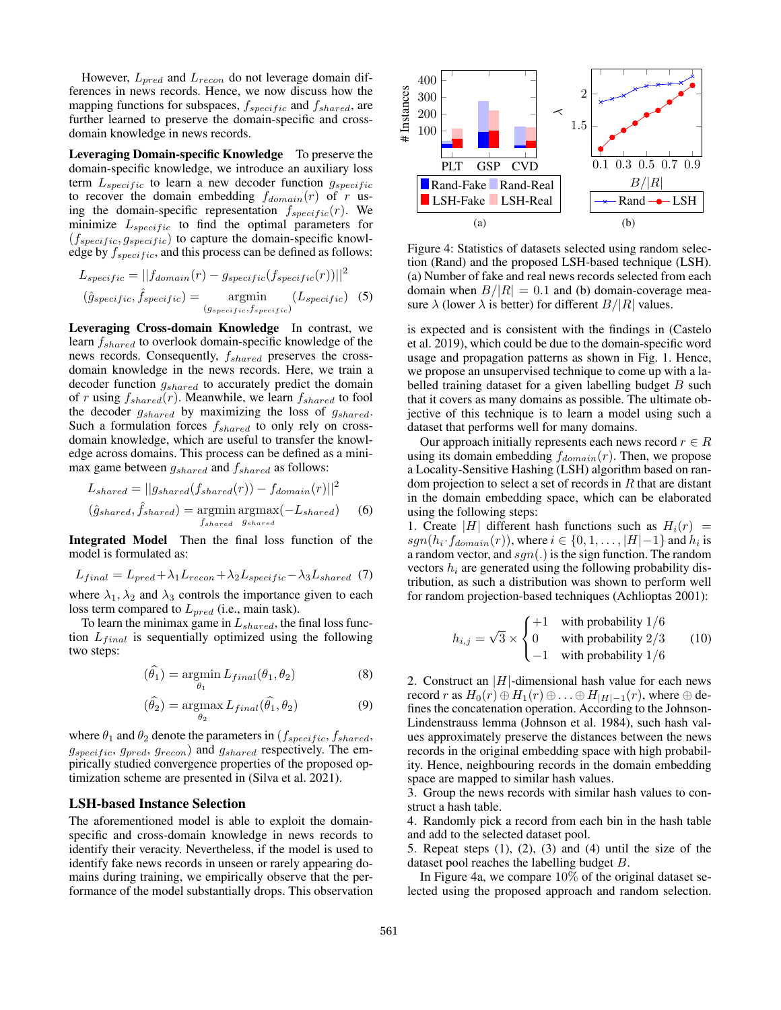However,  $L_{pred}$  and  $L_{recon}$  do not leverage domain differences in news records. Hence, we now discuss how the mapping functions for subspaces,  $f_{specific}$  and  $f_{shared}$ , are further learned to preserve the domain-specific and crossdomain knowledge in news records.

Leveraging Domain-specific Knowledge To preserve the domain-specific knowledge, we introduce an auxiliary loss term  $L_{specific}$  to learn a new decoder function  $g_{specific}$ to recover the domain embedding  $f_{domain}(r)$  of r using the domain-specific representation  $f_{specific}(r)$ . We minimize  $L_{specific}$  to find the optimal parameters for  $(f_{specific}, g_{specific})$  to capture the domain-specific knowledge by  $f_{specific}$ , and this process can be defined as follows:

$$
L_{specific} = ||f_{domain}(r) - g_{specific}(f_{specific}(r))||^2
$$

$$
(\hat{g}_{specific}, \hat{f}_{specific}) = \operatorname*{argmin}_{(g_{specific}, f_{specific})} (L_{specific})
$$
(5)

Leveraging Cross-domain Knowledge In contrast, we learn  $f_{shared}$  to overlook domain-specific knowledge of the news records. Consequently,  $f_{shared}$  preserves the crossdomain knowledge in the news records. Here, we train a decoder function  $g_{shared}$  to accurately predict the domain of r using  $f_{shared}(r)$ . Meanwhile, we learn  $f_{shared}$  to fool the decoder  $g_{shared}$  by maximizing the loss of  $g_{shared}$ . Such a formulation forces  $f_{shared}$  to only rely on crossdomain knowledge, which are useful to transfer the knowledge across domains. This process can be defined as a minimax game between  $g_{shared}$  and  $f_{shared}$  as follows:

$$
L_{shared} = ||g_{shared}(f_{shared}(r)) - f_{domain}(r)||^2
$$
  

$$
(\hat{g}_{shared}, \hat{f}_{shared}) = \underset{f_{shared}}{\text{argmin}} \underset{g_{shared}}{\text{argmax}} (-L_{shared}) \qquad (6)
$$

Integrated Model Then the final loss function of the model is formulated as:

$$
L_{final} = L_{pred} + \lambda_1 L_{recon} + \lambda_2 L_{specific} - \lambda_3 L_{shared} \tag{7}
$$

where  $\lambda_1, \lambda_2$  and  $\lambda_3$  controls the importance given to each loss term compared to  $L_{pred}$  (i.e., main task).

To learn the minimax game in  $L_{shared}$ , the final loss function  $L_{final}$  is sequentially optimized using the following two steps:

$$
(\hat{\theta}_1) = \underset{\theta_1}{\text{argmin}} L_{final}(\theta_1, \theta_2)
$$
 (8)

$$
(\hat{\theta}_2) = \underset{\theta_2}{\operatorname{argmax}} L_{final}(\hat{\theta}_1, \theta_2)
$$
 (9)

where  $\theta_1$  and  $\theta_2$  denote the parameters in ( $f_{specific}, f_{shared}$ ,  $g_{specific}, g_{pred}, g_{recon}$ ) and  $g_{shared}$  respectively. The empirically studied convergence properties of the proposed optimization scheme are presented in (Silva et al. 2021).

#### LSH-based Instance Selection

The aforementioned model is able to exploit the domainspecific and cross-domain knowledge in news records to identify their veracity. Nevertheless, if the model is used to identify fake news records in unseen or rarely appearing domains during training, we empirically observe that the performance of the model substantially drops. This observation



Figure 4: Statistics of datasets selected using random selection (Rand) and the proposed LSH-based technique (LSH). (a) Number of fake and real news records selected from each domain when  $B/|R| = 0.1$  and (b) domain-coverage measure  $\lambda$  (lower  $\lambda$  is better) for different  $B/|R|$  values.

is expected and is consistent with the findings in (Castelo et al. 2019), which could be due to the domain-specific word usage and propagation patterns as shown in Fig. 1. Hence, we propose an unsupervised technique to come up with a labelled training dataset for a given labelling budget  $B$  such that it covers as many domains as possible. The ultimate objective of this technique is to learn a model using such a dataset that performs well for many domains.

Our approach initially represents each news record  $r \in R$ using its domain embedding  $f_{domain}(r)$ . Then, we propose a Locality-Sensitive Hashing (LSH) algorithm based on random projection to select a set of records in  $R$  that are distant in the domain embedding space, which can be elaborated using the following steps:

1. Create |H| different hash functions such as  $H_i(r)$  =  $sgn(h_i \cdot f_{domain}(r))$ , where  $i \in \{0, 1, \ldots, |H|-1\}$  and  $h_i$  is a random vector, and  $sgn(.)$  is the sign function. The random vectors  $h_i$  are generated using the following probability distribution, as such a distribution was shown to perform well for random projection-based techniques (Achlioptas 2001):

$$
h_{i,j} = \sqrt{3} \times \begin{cases} +1 & \text{with probability } 1/6\\ 0 & \text{with probability } 2/3\\ -1 & \text{with probability } 1/6 \end{cases} \tag{10}
$$

2. Construct an  $|H|$ -dimensional hash value for each news record r as  $H_0(r) \oplus H_1(r) \oplus \ldots \oplus H_{|H|-1}(r)$ , where  $\oplus$  defines the concatenation operation. According to the Johnson-Lindenstrauss lemma (Johnson et al. 1984), such hash values approximately preserve the distances between the news records in the original embedding space with high probability. Hence, neighbouring records in the domain embedding space are mapped to similar hash values.

3. Group the news records with similar hash values to construct a hash table.

4. Randomly pick a record from each bin in the hash table and add to the selected dataset pool.

5. Repeat steps  $(1)$ ,  $(2)$ ,  $(3)$  and  $(4)$  until the size of the dataset pool reaches the labelling budget B.

In Figure 4a, we compare 10% of the original dataset selected using the proposed approach and random selection.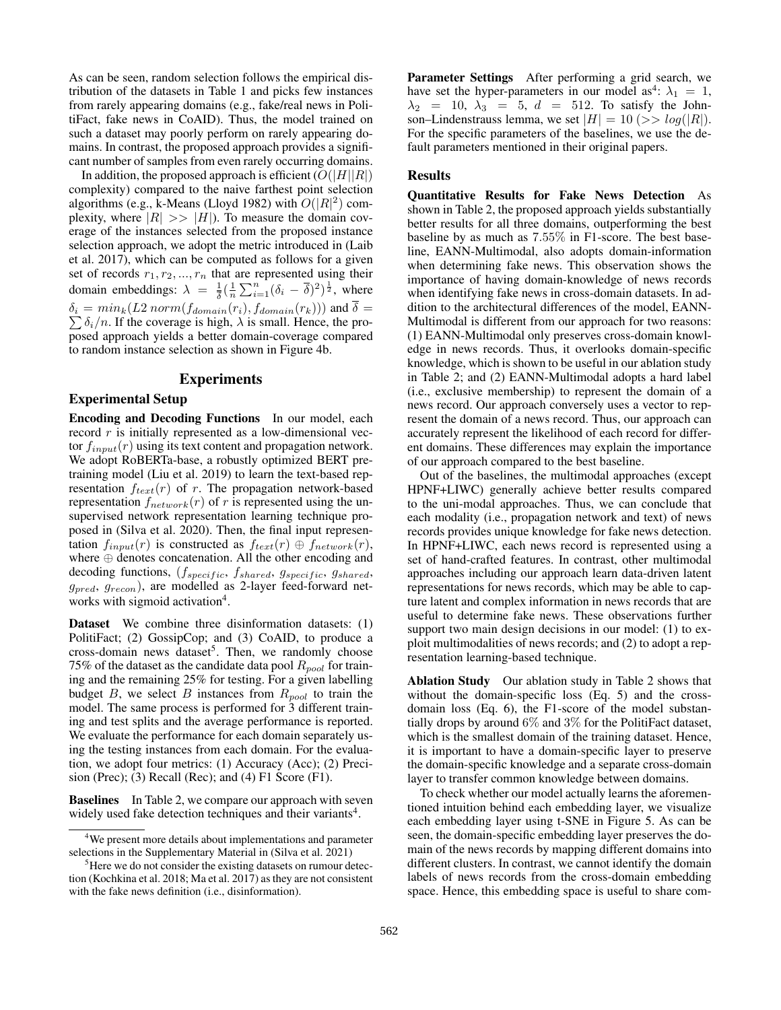As can be seen, random selection follows the empirical distribution of the datasets in Table 1 and picks few instances from rarely appearing domains (e.g., fake/real news in PolitiFact, fake news in CoAID). Thus, the model trained on such a dataset may poorly perform on rarely appearing domains. In contrast, the proposed approach provides a significant number of samples from even rarely occurring domains.

In addition, the proposed approach is efficient  $(O(|H||R|))$ complexity) compared to the naive farthest point selection algorithms (e.g., k-Means (Lloyd 1982) with  $O(|R|^2)$  complexity, where  $|R| \gg |H|$ ). To measure the domain coverage of the instances selected from the proposed instance selection approach, we adopt the metric introduced in (Laib et al. 2017), which can be computed as follows for a given set of records  $r_1, r_2, ..., r_n$  that are represented using their domain embeddings:  $\lambda = \frac{1}{\overline{s}}$  $\frac{1}{\delta}$  $\left(\frac{1}{n} \sum_{i=1}^{n} (\delta_i - \overline{\delta})^2 \right)^{\frac{1}{2}}$ , where P  $\delta_i = min_k(L2\,norm(f_{domain}(r_i), f_{domain}(r_k)))$  and  $\delta =$  $\delta_i/n$ . If the coverage is high,  $\lambda$  is small. Hence, the proposed approach yields a better domain-coverage compared to random instance selection as shown in Figure 4b.

# Experiments

# Experimental Setup

Encoding and Decoding Functions In our model, each record  $r$  is initially represented as a low-dimensional vector  $f_{input}(r)$  using its text content and propagation network. We adopt RoBERTa-base, a robustly optimized BERT pretraining model (Liu et al. 2019) to learn the text-based representation  $f_{text}(r)$  of r. The propagation network-based representation  $f_{network}(r)$  of r is represented using the unsupervised network representation learning technique proposed in (Silva et al. 2020). Then, the final input representation  $f_{input}(r)$  is constructed as  $f_{text}(r) \oplus f_{network}(r)$ , where ⊕ denotes concatenation. All the other encoding and decoding functions,  $(f_{specific}, f_{shared}, g_{specific}, g_{shared}, g_{S)$  $g_{pred}$ ,  $g_{recon}$ ), are modelled as 2-layer feed-forward networks with sigmoid activation<sup>4</sup>.

Dataset We combine three disinformation datasets: (1) PolitiFact; (2) GossipCop; and (3) CoAID, to produce a cross-domain news dataset<sup>5</sup>. Then, we randomly choose 75% of the dataset as the candidate data pool  $R_{pool}$  for training and the remaining 25% for testing. For a given labelling budget  $B$ , we select  $B$  instances from  $R_{pool}$  to train the model. The same process is performed for 3 different training and test splits and the average performance is reported. We evaluate the performance for each domain separately using the testing instances from each domain. For the evaluation, we adopt four metrics: (1) Accuracy (Acc); (2) Precision (Prec); (3) Recall (Rec); and (4) F1 Score (F1).

**Baselines** In Table 2, we compare our approach with seven widely used fake detection techniques and their variants<sup>4</sup>.

Parameter Settings After performing a grid search, we have set the hyper-parameters in our model as<sup>4</sup>:  $\lambda_1 = 1$ ,  $\lambda_2$  = 10,  $\lambda_3$  = 5,  $d$  = 512. To satisfy the Johnson–Lindenstrauss lemma, we set  $|H| = 10 \, (>> log(|R|).$ For the specific parameters of the baselines, we use the default parameters mentioned in their original papers.

# **Results**

Quantitative Results for Fake News Detection As shown in Table 2, the proposed approach yields substantially better results for all three domains, outperforming the best baseline by as much as 7.55% in F1-score. The best baseline, EANN-Multimodal, also adopts domain-information when determining fake news. This observation shows the importance of having domain-knowledge of news records when identifying fake news in cross-domain datasets. In addition to the architectural differences of the model, EANN-Multimodal is different from our approach for two reasons: (1) EANN-Multimodal only preserves cross-domain knowledge in news records. Thus, it overlooks domain-specific knowledge, which is shown to be useful in our ablation study in Table 2; and (2) EANN-Multimodal adopts a hard label (i.e., exclusive membership) to represent the domain of a news record. Our approach conversely uses a vector to represent the domain of a news record. Thus, our approach can accurately represent the likelihood of each record for different domains. These differences may explain the importance of our approach compared to the best baseline.

Out of the baselines, the multimodal approaches (except HPNF+LIWC) generally achieve better results compared to the uni-modal approaches. Thus, we can conclude that each modality (i.e., propagation network and text) of news records provides unique knowledge for fake news detection. In HPNF+LIWC, each news record is represented using a set of hand-crafted features. In contrast, other multimodal approaches including our approach learn data-driven latent representations for news records, which may be able to capture latent and complex information in news records that are useful to determine fake news. These observations further support two main design decisions in our model: (1) to exploit multimodalities of news records; and (2) to adopt a representation learning-based technique.

Ablation Study Our ablation study in Table 2 shows that without the domain-specific loss (Eq. 5) and the crossdomain loss (Eq. 6), the F1-score of the model substantially drops by around 6% and 3% for the PolitiFact dataset, which is the smallest domain of the training dataset. Hence, it is important to have a domain-specific layer to preserve the domain-specific knowledge and a separate cross-domain layer to transfer common knowledge between domains.

To check whether our model actually learns the aforementioned intuition behind each embedding layer, we visualize each embedding layer using t-SNE in Figure 5. As can be seen, the domain-specific embedding layer preserves the domain of the news records by mapping different domains into different clusters. In contrast, we cannot identify the domain labels of news records from the cross-domain embedding space. Hence, this embedding space is useful to share com-

<sup>&</sup>lt;sup>4</sup>We present more details about implementations and parameter selections in the Supplementary Material in (Silva et al. 2021)

<sup>&</sup>lt;sup>5</sup>Here we do not consider the existing datasets on rumour detection (Kochkina et al. 2018; Ma et al. 2017) as they are not consistent with the fake news definition (i.e., disinformation).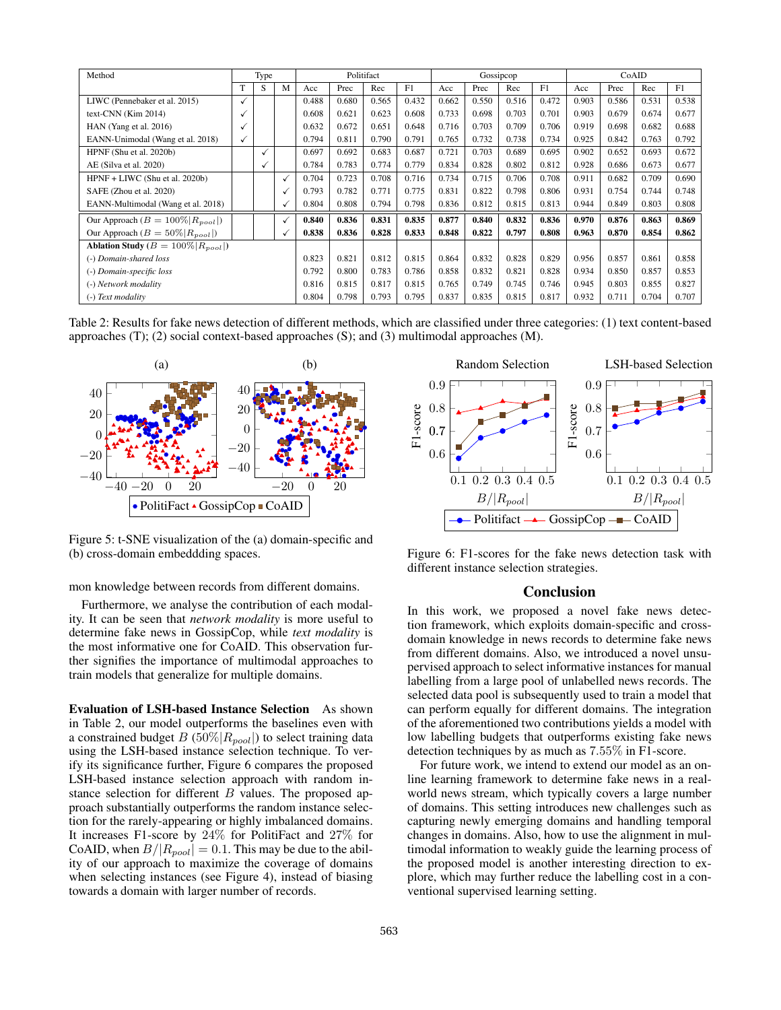| Method                                    | Type         |              | Politifact   |       |       | Gossipcop |       |       |       | CoAID |       |       |       |       |       |
|-------------------------------------------|--------------|--------------|--------------|-------|-------|-----------|-------|-------|-------|-------|-------|-------|-------|-------|-------|
|                                           |              | S            | M            | Acc   | Prec  | Rec       | F1    | Acc   | Prec  | Rec   | F1    | Acc   | Prec  | Rec   | F1    |
| LIWC (Pennebaker et al. 2015)             | $\checkmark$ |              |              | 0.488 | 0.680 | 0.565     | 0.432 | 0.662 | 0.550 | 0.516 | 0.472 | 0.903 | 0.586 | 0.531 | 0.538 |
| text-CNN $(Kim 2014)$                     | $\checkmark$ |              |              | 0.608 | 0.621 | 0.623     | 0.608 | 0.733 | 0.698 | 0.703 | 0.701 | 0.903 | 0.679 | 0.674 | 0.677 |
| HAN (Yang et al. 2016)                    | √            |              |              | 0.632 | 0.672 | 0.651     | 0.648 | 0.716 | 0.703 | 0.709 | 0.706 | 0.919 | 0.698 | 0.682 | 0.688 |
| EANN-Unimodal (Wang et al. 2018)          | $\checkmark$ |              |              | 0.794 | 0.811 | 0.790     | 0.791 | 0.765 | 0.732 | 0.738 | 0.734 | 0.925 | 0.842 | 0.763 | 0.792 |
| HPNF (Shu et al. 2020b)                   |              | $\checkmark$ |              | 0.697 | 0.692 | 0.683     | 0.687 | 0.721 | 0.703 | 0.689 | 0.695 | 0.902 | 0.652 | 0.693 | 0.672 |
| AE (Silva et al. 2020)                    |              | ✓            |              | 0.784 | 0.783 | 0.774     | 0.779 | 0.834 | 0.828 | 0.802 | 0.812 | 0.928 | 0.686 | 0.673 | 0.677 |
| HPNF + LIWC (Shu et al. 2020b)            |              |              | $\checkmark$ | 0.704 | 0.723 | 0.708     | 0.716 | 0.734 | 0.715 | 0.706 | 0.708 | 0.911 | 0.682 | 0.709 | 0.690 |
| SAFE (Zhou et al. 2020)                   |              |              |              | 0.793 | 0.782 | 0.771     | 0.775 | 0.831 | 0.822 | 0.798 | 0.806 | 0.931 | 0.754 | 0.744 | 0.748 |
| EANN-Multimodal (Wang et al. 2018)        |              |              |              | 0.804 | 0.808 | 0.794     | 0.798 | 0.836 | 0.812 | 0.815 | 0.813 | 0.944 | 0.849 | 0.803 | 0.808 |
| Our Approach ( $B = 100\%  R_{pool} $ )   |              |              | ✓            | 0.840 | 0.836 | 0.831     | 0.835 | 0.877 | 0.840 | 0.832 | 0.836 | 0.970 | 0.876 | 0.863 | 0.869 |
| Our Approach ( $B = 50\%  R_{pool} $ )    |              |              |              | 0.838 | 0.836 | 0.828     | 0.833 | 0.848 | 0.822 | 0.797 | 0.808 | 0.963 | 0.870 | 0.854 | 0.862 |
| Ablation Study ( $B = 100\%  R_{pool} $ ) |              |              |              |       |       |           |       |       |       |       |       |       |       |       |       |
| (-) Domain-shared loss                    |              |              | 0.823        | 0.821 | 0.812 | 0.815     | 0.864 | 0.832 | 0.828 | 0.829 | 0.956 | 0.857 | 0.861 | 0.858 |       |
| (-) Domain-specific loss                  |              |              | 0.792        | 0.800 | 0.783 | 0.786     | 0.858 | 0.832 | 0.821 | 0.828 | 0.934 | 0.850 | 0.857 | 0.853 |       |
| (-) Network modality                      |              |              | 0.816        | 0.815 | 0.817 | 0.815     | 0.765 | 0.749 | 0.745 | 0.746 | 0.945 | 0.803 | 0.855 | 0.827 |       |
| (-) Text modality                         |              |              |              | 0.804 | 0.798 | 0.793     | 0.795 | 0.837 | 0.835 | 0.815 | 0.817 | 0.932 | 0.711 | 0.704 | 0.707 |

Table 2: Results for fake news detection of different methods, which are classified under three categories: (1) text content-based approaches (T); (2) social context-based approaches (S); and (3) multimodal approaches (M).



Figure 5: t-SNE visualization of the (a) domain-specific and (b) cross-domain embeddding spaces.

mon knowledge between records from different domains.

Furthermore, we analyse the contribution of each modality. It can be seen that *network modality* is more useful to determine fake news in GossipCop, while *text modality* is the most informative one for CoAID. This observation further signifies the importance of multimodal approaches to train models that generalize for multiple domains.

Evaluation of LSH-based Instance Selection As shown in Table 2, our model outperforms the baselines even with a constrained budget  $B(50\%|R_{pool}|)$  to select training data using the LSH-based instance selection technique. To verify its significance further, Figure 6 compares the proposed LSH-based instance selection approach with random instance selection for different  $B$  values. The proposed approach substantially outperforms the random instance selection for the rarely-appearing or highly imbalanced domains. It increases F1-score by 24% for PolitiFact and 27% for CoAID, when  $B/|R_{pool}| = 0.1$ . This may be due to the ability of our approach to maximize the coverage of domains when selecting instances (see Figure 4), instead of biasing towards a domain with larger number of records.



Figure 6: F1-scores for the fake news detection task with different instance selection strategies.

## Conclusion

In this work, we proposed a novel fake news detection framework, which exploits domain-specific and crossdomain knowledge in news records to determine fake news from different domains. Also, we introduced a novel unsupervised approach to select informative instances for manual labelling from a large pool of unlabelled news records. The selected data pool is subsequently used to train a model that can perform equally for different domains. The integration of the aforementioned two contributions yields a model with low labelling budgets that outperforms existing fake news detection techniques by as much as 7.55% in F1-score.

For future work, we intend to extend our model as an online learning framework to determine fake news in a realworld news stream, which typically covers a large number of domains. This setting introduces new challenges such as capturing newly emerging domains and handling temporal changes in domains. Also, how to use the alignment in multimodal information to weakly guide the learning process of the proposed model is another interesting direction to explore, which may further reduce the labelling cost in a conventional supervised learning setting.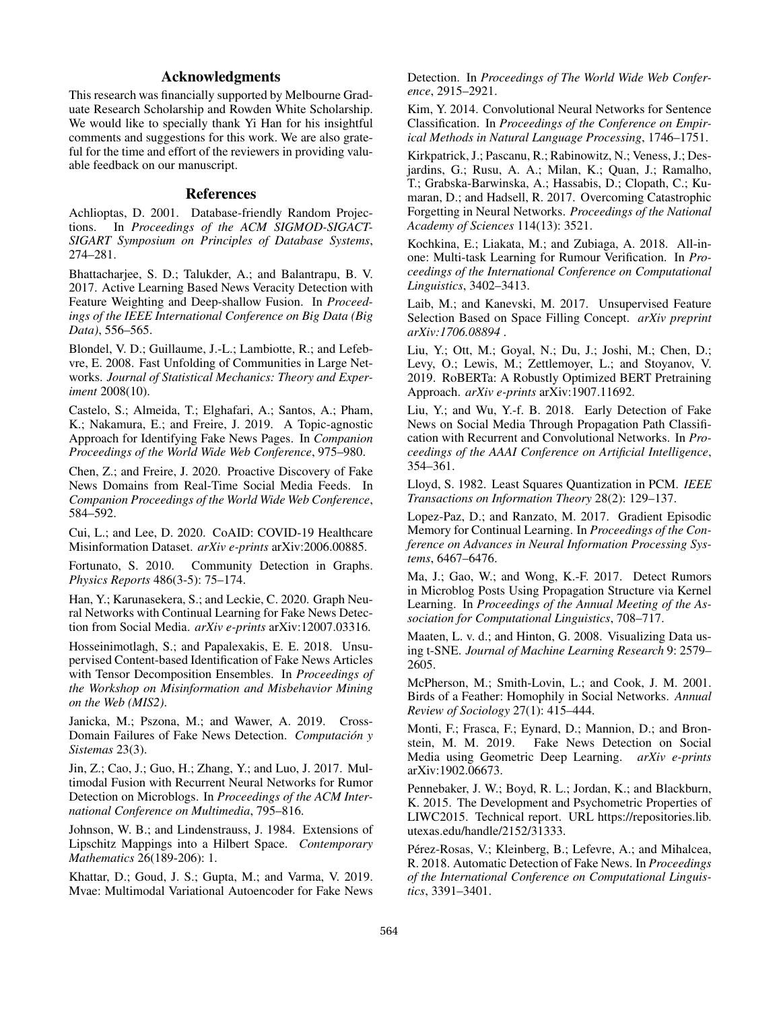# Acknowledgments

This research was financially supported by Melbourne Graduate Research Scholarship and Rowden White Scholarship. We would like to specially thank Yi Han for his insightful comments and suggestions for this work. We are also grateful for the time and effort of the reviewers in providing valuable feedback on our manuscript.

## References

Achlioptas, D. 2001. Database-friendly Random Projections. In *Proceedings of the ACM SIGMOD-SIGACT-SIGART Symposium on Principles of Database Systems*, 274–281.

Bhattacharjee, S. D.; Talukder, A.; and Balantrapu, B. V. 2017. Active Learning Based News Veracity Detection with Feature Weighting and Deep-shallow Fusion. In *Proceedings of the IEEE International Conference on Big Data (Big Data)*, 556–565.

Blondel, V. D.; Guillaume, J.-L.; Lambiotte, R.; and Lefebvre, E. 2008. Fast Unfolding of Communities in Large Networks. *Journal of Statistical Mechanics: Theory and Experiment* 2008(10).

Castelo, S.; Almeida, T.; Elghafari, A.; Santos, A.; Pham, K.; Nakamura, E.; and Freire, J. 2019. A Topic-agnostic Approach for Identifying Fake News Pages. In *Companion Proceedings of the World Wide Web Conference*, 975–980.

Chen, Z.; and Freire, J. 2020. Proactive Discovery of Fake News Domains from Real-Time Social Media Feeds. In *Companion Proceedings of the World Wide Web Conference*, 584–592.

Cui, L.; and Lee, D. 2020. CoAID: COVID-19 Healthcare Misinformation Dataset. *arXiv e-prints* arXiv:2006.00885.

Fortunato, S. 2010. Community Detection in Graphs. *Physics Reports* 486(3-5): 75–174.

Han, Y.; Karunasekera, S.; and Leckie, C. 2020. Graph Neural Networks with Continual Learning for Fake News Detection from Social Media. *arXiv e-prints* arXiv:12007.03316.

Hosseinimotlagh, S.; and Papalexakis, E. E. 2018. Unsupervised Content-based Identification of Fake News Articles with Tensor Decomposition Ensembles. In *Proceedings of the Workshop on Misinformation and Misbehavior Mining on the Web (MIS2)*.

Janicka, M.; Pszona, M.; and Wawer, A. 2019. Cross-Domain Failures of Fake News Detection. *Computacion y ´ Sistemas* 23(3).

Jin, Z.; Cao, J.; Guo, H.; Zhang, Y.; and Luo, J. 2017. Multimodal Fusion with Recurrent Neural Networks for Rumor Detection on Microblogs. In *Proceedings of the ACM International Conference on Multimedia*, 795–816.

Johnson, W. B.; and Lindenstrauss, J. 1984. Extensions of Lipschitz Mappings into a Hilbert Space. *Contemporary Mathematics* 26(189-206): 1.

Khattar, D.; Goud, J. S.; Gupta, M.; and Varma, V. 2019. Mvae: Multimodal Variational Autoencoder for Fake News Detection. In *Proceedings of The World Wide Web Conference*, 2915–2921.

Kim, Y. 2014. Convolutional Neural Networks for Sentence Classification. In *Proceedings of the Conference on Empirical Methods in Natural Language Processing*, 1746–1751.

Kirkpatrick, J.; Pascanu, R.; Rabinowitz, N.; Veness, J.; Desjardins, G.; Rusu, A. A.; Milan, K.; Quan, J.; Ramalho, T.; Grabska-Barwinska, A.; Hassabis, D.; Clopath, C.; Kumaran, D.; and Hadsell, R. 2017. Overcoming Catastrophic Forgetting in Neural Networks. *Proceedings of the National Academy of Sciences* 114(13): 3521.

Kochkina, E.; Liakata, M.; and Zubiaga, A. 2018. All-inone: Multi-task Learning for Rumour Verification. In *Proceedings of the International Conference on Computational Linguistics*, 3402–3413.

Laib, M.; and Kanevski, M. 2017. Unsupervised Feature Selection Based on Space Filling Concept. *arXiv preprint arXiv:1706.08894* .

Liu, Y.; Ott, M.; Goyal, N.; Du, J.; Joshi, M.; Chen, D.; Levy, O.; Lewis, M.; Zettlemoyer, L.; and Stoyanov, V. 2019. RoBERTa: A Robustly Optimized BERT Pretraining Approach. *arXiv e-prints* arXiv:1907.11692.

Liu, Y.; and Wu, Y.-f. B. 2018. Early Detection of Fake News on Social Media Through Propagation Path Classification with Recurrent and Convolutional Networks. In *Proceedings of the AAAI Conference on Artificial Intelligence*, 354–361.

Lloyd, S. 1982. Least Squares Quantization in PCM. *IEEE Transactions on Information Theory* 28(2): 129–137.

Lopez-Paz, D.; and Ranzato, M. 2017. Gradient Episodic Memory for Continual Learning. In *Proceedings of the Conference on Advances in Neural Information Processing Systems*, 6467–6476.

Ma, J.; Gao, W.; and Wong, K.-F. 2017. Detect Rumors in Microblog Posts Using Propagation Structure via Kernel Learning. In *Proceedings of the Annual Meeting of the Association for Computational Linguistics*, 708–717.

Maaten, L. v. d.; and Hinton, G. 2008. Visualizing Data using t-SNE. *Journal of Machine Learning Research* 9: 2579– 2605.

McPherson, M.; Smith-Lovin, L.; and Cook, J. M. 2001. Birds of a Feather: Homophily in Social Networks. *Annual Review of Sociology* 27(1): 415–444.

Monti, F.; Frasca, F.; Eynard, D.; Mannion, D.; and Bronstein, M. M. 2019. Fake News Detection on Social Media using Geometric Deep Learning. *arXiv e-prints* arXiv:1902.06673.

Pennebaker, J. W.; Boyd, R. L.; Jordan, K.; and Blackburn, K. 2015. The Development and Psychometric Properties of LIWC2015. Technical report. URL https://repositories.lib. utexas.edu/handle/2152/31333.

Pérez-Rosas, V.; Kleinberg, B.; Lefevre, A.; and Mihalcea, R. 2018. Automatic Detection of Fake News. In *Proceedings of the International Conference on Computational Linguistics*, 3391–3401.